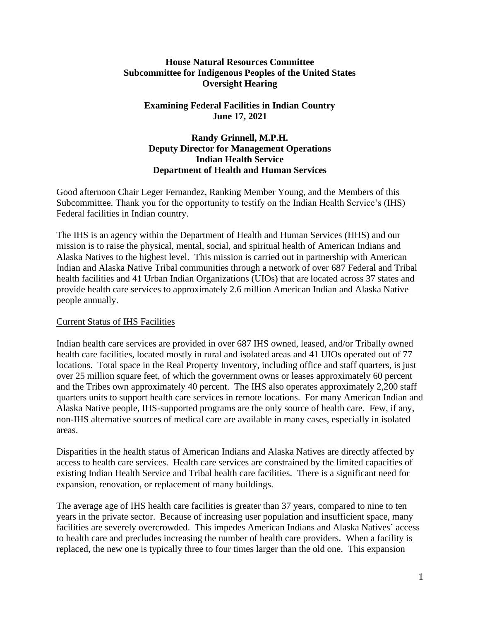## **House Natural Resources Committee Subcommittee for Indigenous Peoples of the United States Oversight Hearing**

# **Examining Federal Facilities in Indian Country June 17, 2021**

## **Randy Grinnell, M.P.H. Deputy Director for Management Operations Indian Health Service Department of Health and Human Services**

Good afternoon Chair Leger Fernandez, Ranking Member Young, and the Members of this Subcommittee. Thank you for the opportunity to testify on the Indian Health Service's (IHS) Federal facilities in Indian country.

The IHS is an agency within the Department of Health and Human Services (HHS) and our mission is to raise the physical, mental, social, and spiritual health of American Indians and Alaska Natives to the highest level. This mission is carried out in partnership with American Indian and Alaska Native Tribal communities through a network of over 687 Federal and Tribal health facilities and 41 Urban Indian Organizations (UIOs) that are located across 37 states and provide health care services to approximately 2.6 million American Indian and Alaska Native people annually.

## Current Status of IHS Facilities

Indian health care services are provided in over 687 IHS owned, leased, and/or Tribally owned health care facilities, located mostly in rural and isolated areas and 41 UIOs operated out of 77 locations. Total space in the Real Property Inventory, including office and staff quarters, is just over 25 million square feet, of which the government owns or leases approximately 60 percent and the Tribes own approximately 40 percent. The IHS also operates approximately 2,200 staff quarters units to support health care services in remote locations. For many American Indian and Alaska Native people, IHS-supported programs are the only source of health care. Few, if any, non-IHS alternative sources of medical care are available in many cases, especially in isolated areas.

Disparities in the health status of American Indians and Alaska Natives are directly affected by access to health care services. Health care services are constrained by the limited capacities of existing Indian Health Service and Tribal health care facilities. There is a significant need for expansion, renovation, or replacement of many buildings.

The average age of IHS health care facilities is greater than 37 years, compared to nine to ten years in the private sector. Because of increasing user population and insufficient space, many facilities are severely overcrowded. This impedes American Indians and Alaska Natives' access to health care and precludes increasing the number of health care providers. When a facility is replaced, the new one is typically three to four times larger than the old one. This expansion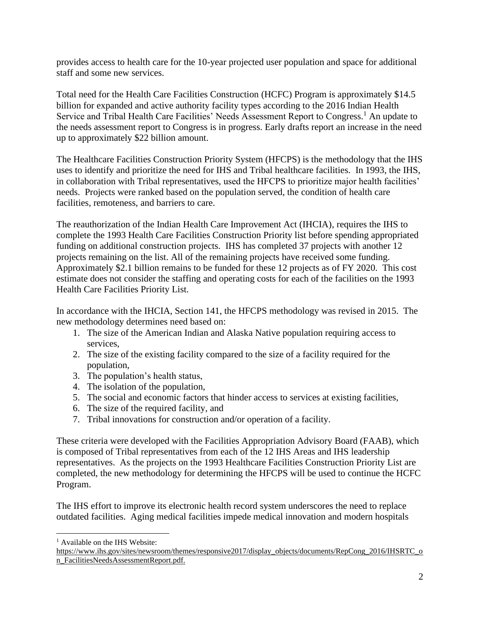provides access to health care for the 10-year projected user population and space for additional staff and some new services.

Total need for the Health Care Facilities Construction (HCFC) Program is approximately \$14.5 billion for expanded and active authority facility types according to the 2016 Indian Health Service and Tribal Health Care Facilities' Needs Assessment Report to Congress.<sup>1</sup> An update to the needs assessment report to Congress is in progress. Early drafts report an increase in the need up to approximately \$22 billion amount.

The Healthcare Facilities Construction Priority System (HFCPS) is the methodology that the IHS uses to identify and prioritize the need for IHS and Tribal healthcare facilities. In 1993, the IHS, in collaboration with Tribal representatives, used the HFCPS to prioritize major health facilities' needs. Projects were ranked based on the population served, the condition of health care facilities, remoteness, and barriers to care.

The reauthorization of the Indian Health Care Improvement Act (IHCIA), requires the IHS to complete the 1993 Health Care Facilities Construction Priority list before spending appropriated funding on additional construction projects. IHS has completed 37 projects with another 12 projects remaining on the list. All of the remaining projects have received some funding. Approximately \$2.1 billion remains to be funded for these 12 projects as of FY 2020. This cost estimate does not consider the staffing and operating costs for each of the facilities on the 1993 Health Care Facilities Priority List.

In accordance with the IHCIA, Section 141, the HFCPS methodology was revised in 2015. The new methodology determines need based on:

- 1. The size of the American Indian and Alaska Native population requiring access to services,
- 2. The size of the existing facility compared to the size of a facility required for the population,
- 3. The population's health status,
- 4. The isolation of the population,
- 5. The social and economic factors that hinder access to services at existing facilities,
- 6. The size of the required facility, and
- 7. Tribal innovations for construction and/or operation of a facility.

These criteria were developed with the Facilities Appropriation Advisory Board (FAAB), which is composed of Tribal representatives from each of the 12 IHS Areas and IHS leadership representatives. As the projects on the 1993 Healthcare Facilities Construction Priority List are completed, the new methodology for determining the HFCPS will be used to continue the HCFC Program.

The IHS effort to improve its electronic health record system underscores the need to replace outdated facilities. Aging medical facilities impede medical innovation and modern hospitals

<sup>&</sup>lt;sup>1</sup> Available on the IHS Website:

https://www.ihs.gov/sites/newsroom/themes/responsive2017/display\_objects/documents/RepCong\_2016/IHSRTC\_o n\_FacilitiesNeedsAssessmentReport.pdf.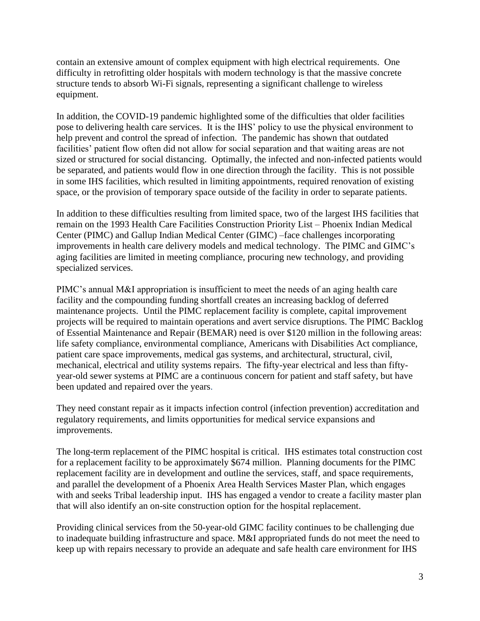contain an extensive amount of complex equipment with high electrical requirements. One difficulty in retrofitting older hospitals with modern technology is that the massive concrete structure tends to absorb Wi-Fi signals, representing a significant challenge to wireless equipment.

In addition, the COVID-19 pandemic highlighted some of the difficulties that older facilities pose to delivering health care services. It is the IHS' policy to use the physical environment to help prevent and control the spread of infection. The pandemic has shown that outdated facilities' patient flow often did not allow for social separation and that waiting areas are not sized or structured for social distancing. Optimally, the infected and non-infected patients would be separated, and patients would flow in one direction through the facility. This is not possible in some IHS facilities, which resulted in limiting appointments, required renovation of existing space, or the provision of temporary space outside of the facility in order to separate patients.

In addition to these difficulties resulting from limited space, two of the largest IHS facilities that remain on the 1993 Health Care Facilities Construction Priority List – Phoenix Indian Medical Center (PIMC) and Gallup Indian Medical Center (GIMC) –face challenges incorporating improvements in health care delivery models and medical technology. The PIMC and GIMC's aging facilities are limited in meeting compliance, procuring new technology, and providing specialized services.

PIMC's annual M&I appropriation is insufficient to meet the needs of an aging health care facility and the compounding funding shortfall creates an increasing backlog of deferred maintenance projects. Until the PIMC replacement facility is complete, capital improvement projects will be required to maintain operations and avert service disruptions. The PIMC Backlog of Essential Maintenance and Repair (BEMAR) need is over \$120 million in the following areas: life safety compliance, environmental compliance, Americans with Disabilities Act compliance, patient care space improvements, medical gas systems, and architectural, structural, civil, mechanical, electrical and utility systems repairs. The fifty-year electrical and less than fiftyyear-old sewer systems at PIMC are a continuous concern for patient and staff safety, but have been updated and repaired over the years.

They need constant repair as it impacts infection control (infection prevention) accreditation and regulatory requirements, and limits opportunities for medical service expansions and improvements.

The long-term replacement of the PIMC hospital is critical. IHS estimates total construction cost for a replacement facility to be approximately \$674 million. Planning documents for the PIMC replacement facility are in development and outline the services, staff, and space requirements, and parallel the development of a Phoenix Area Health Services Master Plan, which engages with and seeks Tribal leadership input. IHS has engaged a vendor to create a facility master plan that will also identify an on-site construction option for the hospital replacement.

Providing clinical services from the 50-year-old GIMC facility continues to be challenging due to inadequate building infrastructure and space. M&I appropriated funds do not meet the need to keep up with repairs necessary to provide an adequate and safe health care environment for IHS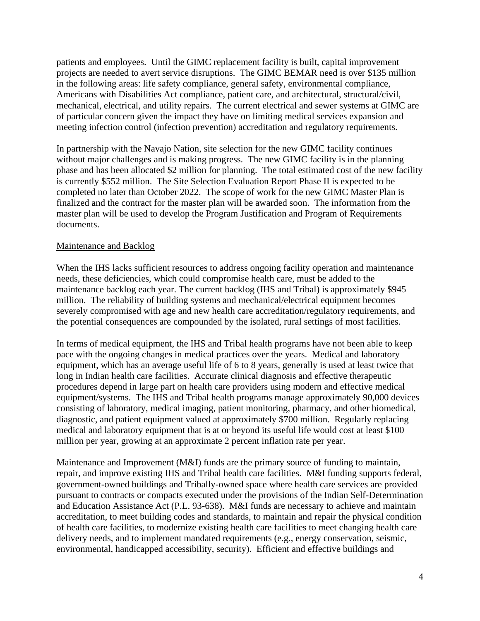patients and employees. Until the GIMC replacement facility is built, capital improvement projects are needed to avert service disruptions. The GIMC BEMAR need is over \$135 million in the following areas: life safety compliance, general safety, environmental compliance, Americans with Disabilities Act compliance, patient care, and architectural, structural/civil, mechanical, electrical, and utility repairs. The current electrical and sewer systems at GIMC are of particular concern given the impact they have on limiting medical services expansion and meeting infection control (infection prevention) accreditation and regulatory requirements.

In partnership with the Navajo Nation, site selection for the new GIMC facility continues without major challenges and is making progress. The new GIMC facility is in the planning phase and has been allocated \$2 million for planning. The total estimated cost of the new facility is currently \$552 million. The Site Selection Evaluation Report Phase II is expected to be completed no later than October 2022. The scope of work for the new GIMC Master Plan is finalized and the contract for the master plan will be awarded soon. The information from the master plan will be used to develop the Program Justification and Program of Requirements documents.

#### Maintenance and Backlog

When the IHS lacks sufficient resources to address ongoing facility operation and maintenance needs, these deficiencies, which could compromise health care, must be added to the maintenance backlog each year. The current backlog (IHS and Tribal) is approximately \$945 million. The reliability of building systems and mechanical/electrical equipment becomes severely compromised with age and new health care accreditation/regulatory requirements, and the potential consequences are compounded by the isolated, rural settings of most facilities.

In terms of medical equipment, the IHS and Tribal health programs have not been able to keep pace with the ongoing changes in medical practices over the years. Medical and laboratory equipment, which has an average useful life of 6 to 8 years, generally is used at least twice that long in Indian health care facilities. Accurate clinical diagnosis and effective therapeutic procedures depend in large part on health care providers using modern and effective medical equipment/systems. The IHS and Tribal health programs manage approximately 90,000 devices consisting of laboratory, medical imaging, patient monitoring, pharmacy, and other biomedical, diagnostic, and patient equipment valued at approximately \$700 million. Regularly replacing medical and laboratory equipment that is at or beyond its useful life would cost at least \$100 million per year, growing at an approximate 2 percent inflation rate per year.

Maintenance and Improvement (M&I) funds are the primary source of funding to maintain, repair, and improve existing IHS and Tribal health care facilities. M&I funding supports federal, government-owned buildings and Tribally-owned space where health care services are provided pursuant to contracts or compacts executed under the provisions of the Indian Self-Determination and Education Assistance Act (P.L. 93-638). M&I funds are necessary to achieve and maintain accreditation, to meet building codes and standards, to maintain and repair the physical condition of health care facilities, to modernize existing health care facilities to meet changing health care delivery needs, and to implement mandated requirements (e.g., energy conservation, seismic, environmental, handicapped accessibility, security). Efficient and effective buildings and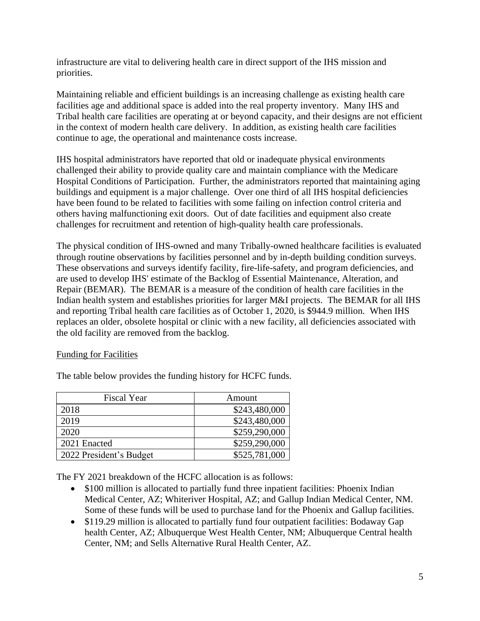infrastructure are vital to delivering health care in direct support of the IHS mission and priorities.

Maintaining reliable and efficient buildings is an increasing challenge as existing health care facilities age and additional space is added into the real property inventory. Many IHS and Tribal health care facilities are operating at or beyond capacity, and their designs are not efficient in the context of modern health care delivery. In addition, as existing health care facilities continue to age, the operational and maintenance costs increase.

IHS hospital administrators have reported that old or inadequate physical environments challenged their ability to provide quality care and maintain compliance with the Medicare Hospital Conditions of Participation. Further, the administrators reported that maintaining aging buildings and equipment is a major challenge. Over one third of all IHS hospital deficiencies have been found to be related to facilities with some failing on infection control criteria and others having malfunctioning exit doors. Out of date facilities and equipment also create challenges for recruitment and retention of high-quality health care professionals.

The physical condition of IHS-owned and many Tribally-owned healthcare facilities is evaluated through routine observations by facilities personnel and by in-depth building condition surveys. These observations and surveys identify facility, fire-life-safety, and program deficiencies, and are used to develop IHS' estimate of the Backlog of Essential Maintenance, Alteration, and Repair (BEMAR). The BEMAR is a measure of the condition of health care facilities in the Indian health system and establishes priorities for larger M&I projects. The BEMAR for all IHS and reporting Tribal health care facilities as of October 1, 2020, is \$944.9 million. When IHS replaces an older, obsolete hospital or clinic with a new facility, all deficiencies associated with the old facility are removed from the backlog.

## Funding for Facilities

| <b>Fiscal Year</b>      | Amount        |
|-------------------------|---------------|
| 2018                    | \$243,480,000 |
| 2019                    | \$243,480,000 |
| 2020                    | \$259,290,000 |
| 2021 Enacted            | \$259,290,000 |
| 2022 President's Budget | \$525,781,000 |

The table below provides the funding history for HCFC funds.

The FY 2021 breakdown of the HCFC allocation is as follows:

- \$100 million is allocated to partially fund three inpatient facilities: Phoenix Indian Medical Center, AZ; Whiteriver Hospital, AZ; and Gallup Indian Medical Center, NM. Some of these funds will be used to purchase land for the Phoenix and Gallup facilities.
- \$119.29 million is allocated to partially fund four outpatient facilities: Bodaway Gap health Center, AZ; Albuquerque West Health Center, NM; Albuquerque Central health Center, NM; and Sells Alternative Rural Health Center, AZ.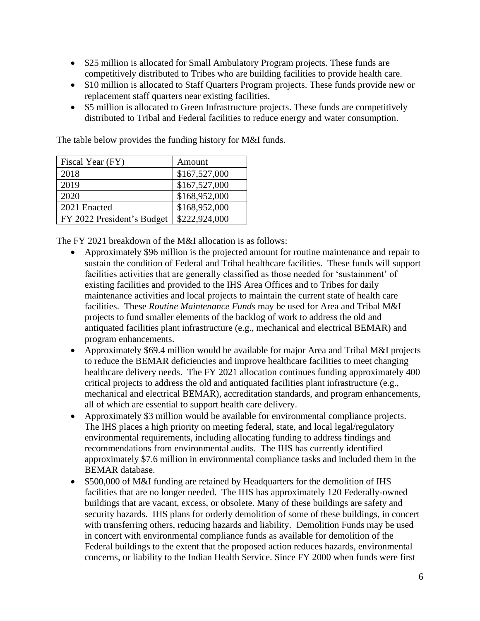- \$25 million is allocated for Small Ambulatory Program projects. These funds are competitively distributed to Tribes who are building facilities to provide health care.
- \$10 million is allocated to Staff Quarters Program projects. These funds provide new or replacement staff quarters near existing facilities.
- \$5 million is allocated to Green Infrastructure projects. These funds are competitively distributed to Tribal and Federal facilities to reduce energy and water consumption.

| Fiscal Year (FY)           | Amount        |
|----------------------------|---------------|
| 2018                       | \$167,527,000 |
| 2019                       | \$167,527,000 |
| 2020                       | \$168,952,000 |
| 2021 Enacted               | \$168,952,000 |
| FY 2022 President's Budget | \$222,924,000 |

The table below provides the funding history for M&I funds.

The FY 2021 breakdown of the M&I allocation is as follows:

- Approximately \$96 million is the projected amount for routine maintenance and repair to sustain the condition of Federal and Tribal healthcare facilities. These funds will support facilities activities that are generally classified as those needed for 'sustainment' of existing facilities and provided to the IHS Area Offices and to Tribes for daily maintenance activities and local projects to maintain the current state of health care facilities. These *Routine Maintenance Funds* may be used for Area and Tribal M&I projects to fund smaller elements of the backlog of work to address the old and antiquated facilities plant infrastructure (e.g., mechanical and electrical BEMAR) and program enhancements.
- Approximately \$69.4 million would be available for major Area and Tribal M&I projects to reduce the BEMAR deficiencies and improve healthcare facilities to meet changing healthcare delivery needs. The FY 2021 allocation continues funding approximately 400 critical projects to address the old and antiquated facilities plant infrastructure (e.g., mechanical and electrical BEMAR), accreditation standards, and program enhancements, all of which are essential to support health care delivery.
- Approximately \$3 million would be available for environmental compliance projects. The IHS places a high priority on meeting federal, state, and local legal/regulatory environmental requirements, including allocating funding to address findings and recommendations from environmental audits. The IHS has currently identified approximately \$7.6 million in environmental compliance tasks and included them in the BEMAR database.
- \$500,000 of M&I funding are retained by Headquarters for the demolition of IHS facilities that are no longer needed. The IHS has approximately 120 Federally-owned buildings that are vacant, excess, or obsolete. Many of these buildings are safety and security hazards. IHS plans for orderly demolition of some of these buildings, in concert with transferring others, reducing hazards and liability. Demolition Funds may be used in concert with environmental compliance funds as available for demolition of the Federal buildings to the extent that the proposed action reduces hazards, environmental concerns, or liability to the Indian Health Service. Since FY 2000 when funds were first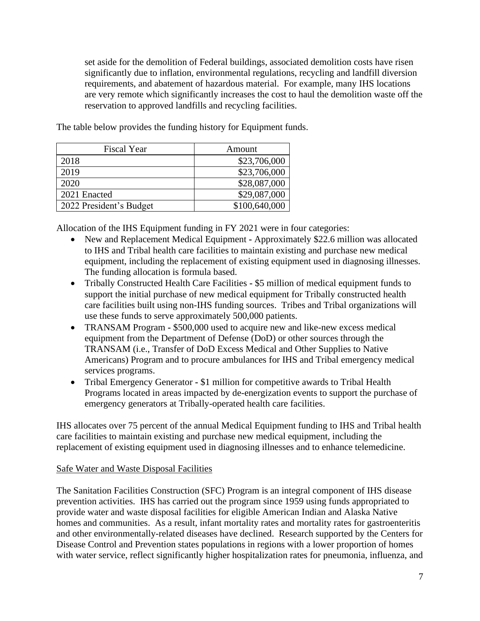set aside for the demolition of Federal buildings, associated demolition costs have risen significantly due to inflation, environmental regulations, recycling and landfill diversion requirements, and abatement of hazardous material. For example, many IHS locations are very remote which significantly increases the cost to haul the demolition waste off the reservation to approved landfills and recycling facilities.

The table below provides the funding history for Equipment funds.

| <b>Fiscal Year</b>      | Amount        |
|-------------------------|---------------|
| 2018                    | \$23,706,000  |
| 2019                    | \$23,706,000  |
| 2020                    | \$28,087,000  |
| 2021 Enacted            | \$29,087,000  |
| 2022 President's Budget | \$100,640,000 |

Allocation of the IHS Equipment funding in FY 2021 were in four categories:

- New and Replacement Medical Equipment **-** Approximately \$22.6 million was allocated to IHS and Tribal health care facilities to maintain existing and purchase new medical equipment, including the replacement of existing equipment used in diagnosing illnesses. The funding allocation is formula based.
- Tribally Constructed Health Care Facilities **-** \$5 million of medical equipment funds to support the initial purchase of new medical equipment for Tribally constructed health care facilities built using non-IHS funding sources. Tribes and Tribal organizations will use these funds to serve approximately 500,000 patients.
- TRANSAM Program **-** \$500,000 used to acquire new and like-new excess medical equipment from the Department of Defense (DoD) or other sources through the TRANSAM (i.e., Transfer of DoD Excess Medical and Other Supplies to Native Americans) Program and to procure ambulances for IHS and Tribal emergency medical services programs.
- Tribal Emergency Generator **-** \$1 million for competitive awards to Tribal Health Programs located in areas impacted by de-energization events to support the purchase of emergency generators at Tribally-operated health care facilities.

IHS allocates over 75 percent of the annual Medical Equipment funding to IHS and Tribal health care facilities to maintain existing and purchase new medical equipment, including the replacement of existing equipment used in diagnosing illnesses and to enhance telemedicine.

## Safe Water and Waste Disposal Facilities

The Sanitation Facilities Construction (SFC) Program is an integral component of IHS disease prevention activities. IHS has carried out the program since 1959 using funds appropriated to provide water and waste disposal facilities for eligible American Indian and Alaska Native homes and communities. As a result, infant mortality rates and mortality rates for gastroenteritis and other environmentally-related diseases have declined. Research supported by the Centers for Disease Control and Prevention states populations in regions with a lower proportion of homes with water service, reflect significantly higher hospitalization rates for pneumonia, influenza, and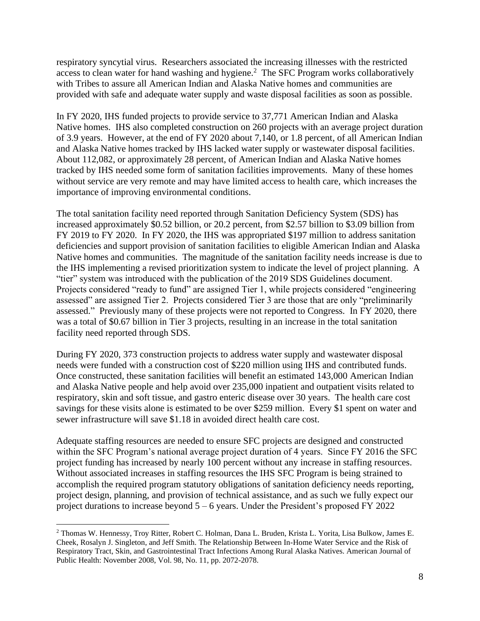respiratory syncytial virus. Researchers associated the increasing illnesses with the restricted access to clean water for hand washing and hygiene.<sup>2</sup> The SFC Program works collaboratively with Tribes to assure all American Indian and Alaska Native homes and communities are provided with safe and adequate water supply and waste disposal facilities as soon as possible.

In FY 2020, IHS funded projects to provide service to 37,771 American Indian and Alaska Native homes. IHS also completed construction on 260 projects with an average project duration of 3.9 years. However, at the end of FY 2020 about 7,140, or 1.8 percent, of all American Indian and Alaska Native homes tracked by IHS lacked water supply or wastewater disposal facilities. About 112,082, or approximately 28 percent, of American Indian and Alaska Native homes tracked by IHS needed some form of sanitation facilities improvements. Many of these homes without service are very remote and may have limited access to health care, which increases the importance of improving environmental conditions.

The total sanitation facility need reported through Sanitation Deficiency System (SDS) has increased approximately \$0.52 billion, or 20.2 percent, from \$2.57 billion to \$3.09 billion from FY 2019 to FY 2020. In FY 2020, the IHS was appropriated \$197 million to address sanitation deficiencies and support provision of sanitation facilities to eligible American Indian and Alaska Native homes and communities. The magnitude of the sanitation facility needs increase is due to the IHS implementing a revised prioritization system to indicate the level of project planning. A "tier" system was introduced with the publication of the 2019 SDS Guidelines document. Projects considered "ready to fund" are assigned Tier 1, while projects considered "engineering assessed" are assigned Tier 2. Projects considered Tier 3 are those that are only "preliminarily assessed." Previously many of these projects were not reported to Congress. In FY 2020, there was a total of \$0.67 billion in Tier 3 projects, resulting in an increase in the total sanitation facility need reported through SDS.

During FY 2020, 373 construction projects to address water supply and wastewater disposal needs were funded with a construction cost of \$220 million using IHS and contributed funds. Once constructed, these sanitation facilities will benefit an estimated 143,000 American Indian and Alaska Native people and help avoid over 235,000 inpatient and outpatient visits related to respiratory, skin and soft tissue, and gastro enteric disease over 30 years. The health care cost savings for these visits alone is estimated to be over \$259 million. Every \$1 spent on water and sewer infrastructure will save \$1.18 in avoided direct health care cost.

Adequate staffing resources are needed to ensure SFC projects are designed and constructed within the SFC Program's national average project duration of 4 years. Since FY 2016 the SFC project funding has increased by nearly 100 percent without any increase in staffing resources. Without associated increases in staffing resources the IHS SFC Program is being strained to accomplish the required program statutory obligations of sanitation deficiency needs reporting, project design, planning, and provision of technical assistance, and as such we fully expect our project durations to increase beyond  $5 - 6$  years. Under the President's proposed FY 2022

<sup>2</sup> Thomas W. Hennessy, Troy Ritter, Robert C. Holman, Dana L. Bruden, Krista L. Yorita, Lisa Bulkow, James E. Cheek, Rosalyn J. Singleton, and Jeff Smith. The Relationship Between In-Home Water Service and the Risk of Respiratory Tract, Skin, and Gastrointestinal Tract Infections Among Rural Alaska Natives. American Journal of Public Health: November 2008, Vol. 98, No. 11, pp. 2072-2078.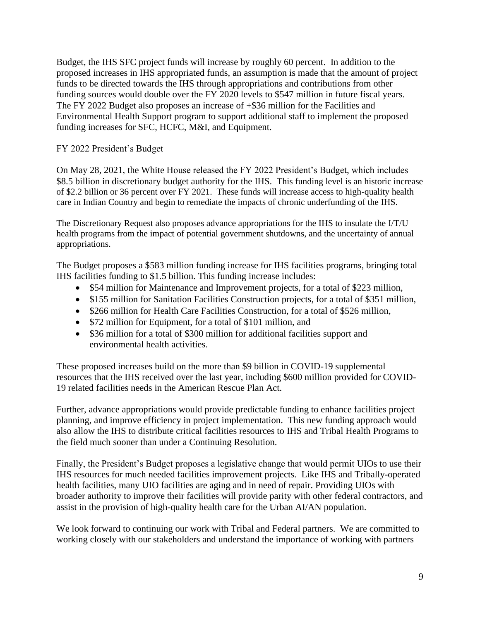Budget, the IHS SFC project funds will increase by roughly 60 percent. In addition to the proposed increases in IHS appropriated funds, an assumption is made that the amount of project funds to be directed towards the IHS through appropriations and contributions from other funding sources would double over the FY 2020 levels to \$547 million in future fiscal years. The FY 2022 Budget also proposes an increase of +\$36 million for the Facilities and Environmental Health Support program to support additional staff to implement the proposed funding increases for SFC, HCFC, M&I, and Equipment.

### FY 2022 President's Budget

On May 28, 2021, the White House released the FY 2022 President's Budget, which includes \$8.5 billion in discretionary budget authority for the IHS. This funding level is an historic increase of \$2.2 billion or 36 percent over FY 2021. These funds will increase access to high-quality health care in Indian Country and begin to remediate the impacts of chronic underfunding of the IHS.

The Discretionary Request also proposes advance appropriations for the IHS to insulate the I/T/U health programs from the impact of potential government shutdowns, and the uncertainty of annual appropriations.

The Budget proposes a \$583 million funding increase for IHS facilities programs, bringing total IHS facilities funding to \$1.5 billion. This funding increase includes:

- \$54 million for Maintenance and Improvement projects, for a total of \$223 million,
- \$155 million for Sanitation Facilities Construction projects, for a total of \$351 million,
- \$266 million for Health Care Facilities Construction, for a total of \$526 million,
- \$72 million for Equipment, for a total of \$101 million, and
- \$36 million for a total of \$300 million for additional facilities support and environmental health activities.

These proposed increases build on the more than \$9 billion in COVID-19 supplemental resources that the IHS received over the last year, including \$600 million provided for COVID-19 related facilities needs in the American Rescue Plan Act.

Further, advance appropriations would provide predictable funding to enhance facilities project planning, and improve efficiency in project implementation. This new funding approach would also allow the IHS to distribute critical facilities resources to IHS and Tribal Health Programs to the field much sooner than under a Continuing Resolution.

Finally, the President's Budget proposes a legislative change that would permit UIOs to use their IHS resources for much needed facilities improvement projects. Like IHS and Tribally-operated health facilities, many UIO facilities are aging and in need of repair. Providing UIOs with broader authority to improve their facilities will provide parity with other federal contractors, and assist in the provision of high-quality health care for the Urban AI/AN population.

We look forward to continuing our work with Tribal and Federal partners. We are committed to working closely with our stakeholders and understand the importance of working with partners